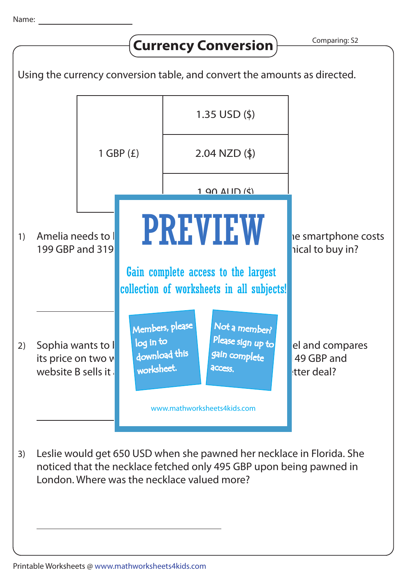